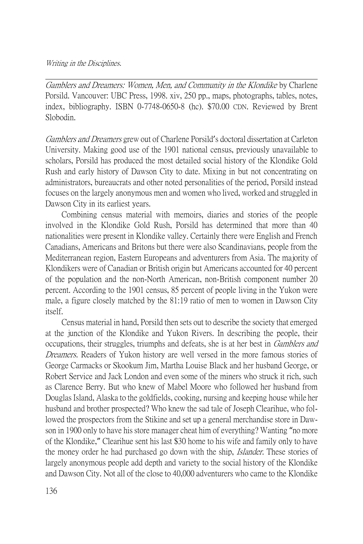## Writing in the Disciplines.

Gamblers and Dreamers: Women, Men, and Community in the Klondike by Charlene Porsild. Vancouver: UBC Press, 1998. xiv, 250 pp., maps, photographs, tables, notes, index, bibliography. ISBN 0-7748-0650-8 (hc). \$70.00 CDN. Reviewed by Brent Slobodin.

Gamblers and Dreamers grew out of Charlene Porsild's doctoral dissertation at Carleton University. Making good use of the 1901 national census, previously unavailable to scholars, Porsild has produced the most detailed social history of the Klondike Gold Rush and early history of Dawson City to date. Mixing in but not concentrating on administrators, bureaucrats and other noted personalities of the period, Porsild instead focuses on the largely anonymous men and women who lived, worked and struggled in Dawson City in its earliest years.

Combining census material with memoirs, diaries and stories of the people involved in the Klondike Gold Rush, Porsild has determined that more than 40 nationalities were present in Klondike valley. Certainly there were English and French Canadians, Americans and Britons but there were also Scandinavians, people from the Mediterranean region, Eastern Europeans and adventurers from Asia. The majority of Klondikers were of Canadian or British origin but Americans accounted for 40 percent of the population and the non-North American, non-British component number 20 percent. According to the 1901 census, 85 percent of people living in the Yukon were male, a figure closely matched by the 81:19 ratio of men to women in Dawson City itself.

Census material in hand, Porsild then sets out to describe the society that emerged at the junction of the Klondike and Yukon Rivers. In describing the people, their occupations, their struggles, triumphs and defeats, she is at her best in Gamblers and Dreamers. Readers of Yukon history are well versed in the more famous stories of George Carmacks or Skookum Jim, Martha Louise Black and her husband George, or Robert Service and Jack London and even some of the miners who struck it rich, such as Clarence Berry. But who knew of Mabel Moore who followed her husband from Douglas Island, Alaska to the goldfields, cooking, nursing and keeping house while her husband and brother prospected? Who knew the sad tale of Joseph Clearihue, who followed the prospectors from the Stikine and set up a general merchandise store in Dawson in 1900 only to have his store manager cheat him of everything? Wanting "no more of the Klondike," Clearihue sent his last \$30 home to his wife and family only to have the money order he had purchased go down with the ship, *Islander*. These stories of largely anonymous people add depth and variety to the social history of the Klondike and Dawson City. Not all of the close to 40,000 adventurers who came to the Klondike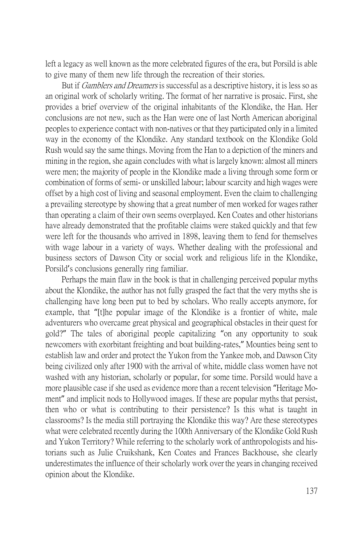left a legacy as well known as the more celebrated figures of the era, but Porsild is able to give many of them new life through the recreation of their stories.

But if *Gamblers and Dreamers* is successful as a descriptive history, it is less so as an original work of scholarly writing. The format of her narrative is prosaic. First, she provides a brief overview of the original inhabitants of the Klondike, the Han. Her conclusions are not new, such as the Han were one of last North American aboriginal peoples to experience contact with non-natives or that they participated only in a limited way in the economy of the Klondike. Any standard textbook on the Klondike Gold Rush would say the same things. Moving from the Han to a depiction of the miners and mining in the region, she again concludes with what is largely known: almost all miners were men; the majority of people in the Klondike made a living through some form or combination of forms of semi- or unskilled labour; labour scarcity and high wages were offset by a high cost of living and seasonal employment. Even the claim to challenging a prevailing stereotype by showing that a great number of men worked for wages rather than operating a claim of their own seems overplayed. Ken Coates and other historians have already demonstrated that the profitable claims were staked quickly and that few were left for the thousands who arrived in 1898, leaving them to fend for themselves with wage labour in a variety of ways. Whether dealing with the professional and business sectors of Dawson City or social work and religious life in the Klondike, Porsild's conclusions generally ring familiar.

Perhaps the main flaw in the book is that in challenging perceived popular myths about the Klondike, the author has not fully grasped the fact that the very myths she is challenging have long been put to bed by scholars. Who really accepts anymore, for example, that "[t]he popular image of the Klondike is a frontier of white, male adventurers who overcame great physical and geographical obstacles in their quest for gold?" The tales of aboriginal people capitalizing "on any opportunity to soak newcomers with exorbitant freighting and boat building-rates," Mounties being sent to establish law and order and protect the Yukon from the Yankee mob, and Dawson City being civilized only after 1900 with the arrival of white, middle class women have not washed with any historian, scholarly or popular, for some time. Porsild would have a more plausible case if she used as evidence more than a recent television "Heritage Moment" and implicit nods to Hollywood images. If these are popular myths that persist, then who or what is contributing to their persistence? Is this what is taught in classrooms? Is the media still portraying the Klondike this way? Are these stereotypes what were celebrated recently during the 100th Anniversary of the Klondike Gold Rush and Yukon Territory? While referring to the scholarly work of anthropologists and historians such as Julie Cruikshank, Ken Coates and Frances Backhouse, she clearly underestimates the influence of their scholarly work over the years in changing received opinion about the Klondike.